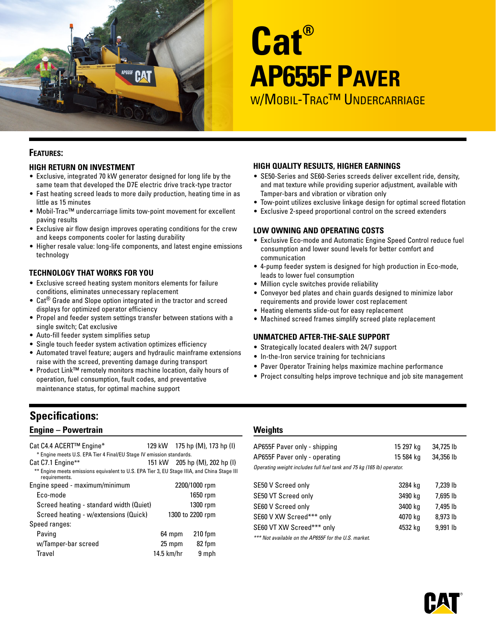

# **Cat® AP655F Paver** W/MOBIL-TRAC™ UNDERCARRIAGE

# **Features:**

# **High Return on Investment**

- Exclusive, integrated 70 kW generator designed for long life by the same team that developed the D7E electric drive track-type tractor
- Fast heating screed leads to more daily production, heating time in as little as 15 minutes
- Mobil-Trac™ undercarriage limits tow-point movement for excellent paving results
- Exclusive air flow design improves operating conditions for the crew and keeps components cooler for lasting durability
- Higher resale value: long-life components, and latest engine emissions technology

# **Technology That Works For You**

- Exclusive screed heating system monitors elements for failure conditions, eliminates unnecessary replacement
- Cat<sup>®</sup> Grade and Slope option integrated in the tractor and screed displays for optimized operator efficiency
- Propel and feeder system settings transfer between stations with a single switch; Cat exclusive
- Auto-fill feeder system simplifies setup
- Single touch feeder system activation optimizes efficiency
- Automated travel feature; augers and hydraulic mainframe extensions raise with the screed, preventing damage during transport
- Product Link™ remotely monitors machine location, daily hours of operation, fuel consumption, fault codes, and preventative maintenance status, for optimal machine support

# **Specifications:**

# **Engine – Powertrain**

| Cat C4.4 ACERT™ Engine*<br>* Engine meets U.S. EPA Tier 4 Final/EU Stage IV emission standards.              |              |                  | 129 kW 175 hp (M), 173 hp (I) |
|--------------------------------------------------------------------------------------------------------------|--------------|------------------|-------------------------------|
| Cat C7.1 Engine**                                                                                            |              |                  | 151 kW 205 hp (M), 202 hp (I) |
| ** Engine meets emissions equivalent to U.S. EPA Tier 3, EU Stage IIIA, and China Stage III<br>requirements. |              |                  |                               |
| Engine speed - maximum/minimum                                                                               |              | 2200/1000 rpm    |                               |
| Eco-mode                                                                                                     |              |                  | 1650 rpm                      |
| Screed heating - standard width (Quiet)                                                                      |              |                  | 1300 rpm                      |
| Screed heating - w/extensions (Quick)                                                                        |              | 1300 to 2200 rpm |                               |
| Speed ranges:                                                                                                |              |                  |                               |
| Paving                                                                                                       | 64 mpm       |                  | $210$ fpm                     |
| w/Tamper-bar screed                                                                                          | 25 mpm       |                  | 82 fpm                        |
| Travel                                                                                                       | $14.5$ km/hr |                  | 9 mph                         |

# **High Quality Results, Higher Earnings**

- SE50-Series and SE60-Series screeds deliver excellent ride, density, and mat texture while providing superior adjustment, available with Tamper-bars and vibration or vibration only
- Tow-point utilizes exclusive linkage design for optimal screed flotation
- Exclusive 2-speed proportional control on the screed extenders

#### **Low Owning and Operating Costs**

- Exclusive Eco-mode and Automatic Engine Speed Control reduce fuel consumption and lower sound levels for better comfort and communication
- 4-pump feeder system is designed for high production in Eco-mode, leads to lower fuel consumption
- Million cycle switches provide reliability
- Conveyor bed plates and chain guards designed to minimize labor requirements and provide lower cost replacement
- Heating elements slide-out for easy replacement
- Machined screed frames simplify screed plate replacement

#### **Unmatched After-the-Sale Support**

- Strategically located dealers with 24/7 support
- In-the-Iron service training for technicians
- Paver Operator Training helps maximize machine performance
- Project consulting helps improve technique and job site management

# **Weights**

| AP655F Paver only - shipping                                          | 15 297 kg | 34,725 lb |
|-----------------------------------------------------------------------|-----------|-----------|
| AP655F Paver only - operating                                         | 15 584 ka | 34,356 lb |
| Operating weight includes full fuel tank and 75 kg (165 lb) operator. |           |           |
|                                                                       |           |           |

| SE50 V Screed only         | 3284 kg | 7,239 lb |
|----------------------------|---------|----------|
| SE50 VT Screed only        | 3490 kg | 7.695 lb |
| SE60 V Screed only         | 3400 kg | 7.495 lb |
| SE60 V XW Screed*** only   | 4070 kg | 8.973 lb |
| SE60 VT XW Screed**** only | 4532 ka | 9.991 lb |
|                            |         |          |

*\*\*\* Not available on the AP655F for the U.S. market.*